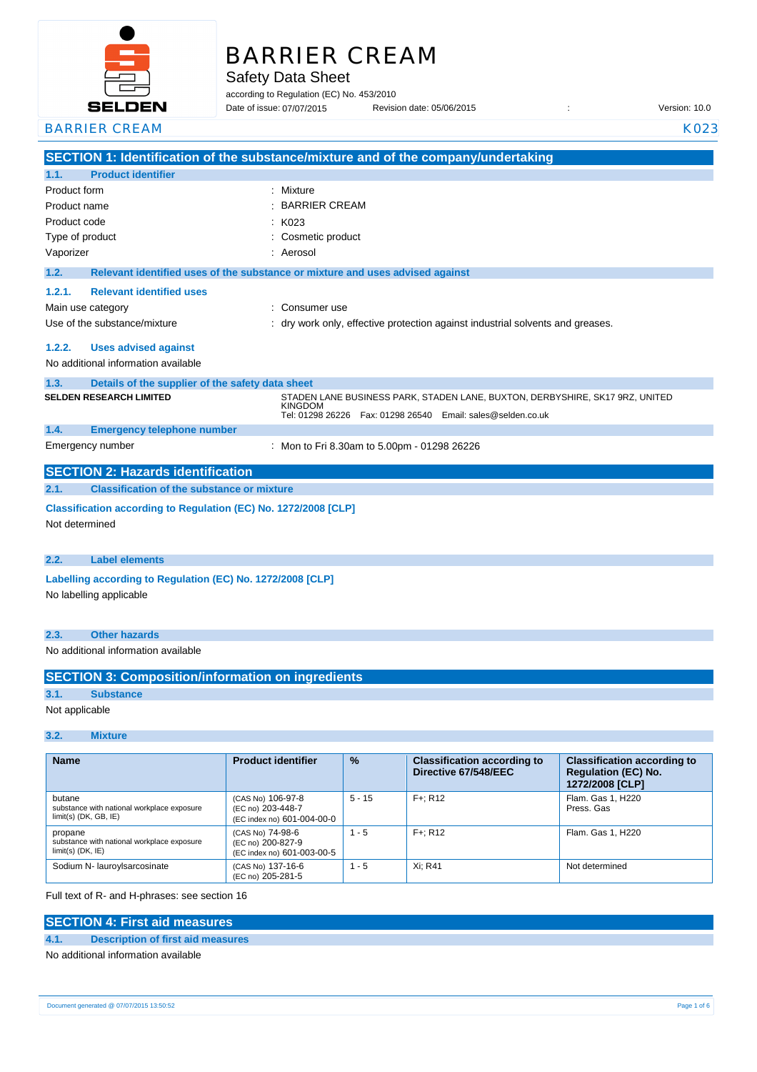

# BARRIER CREAM

Safety Data Sheet

according to Regulation (EC) No. 453/2010

Revision date: 05/06/2015 : Case of its version: 10.0 Date of issue: 07/07/2015

## BARRIER CREAM KO23

|                                                                                       |                                                   | SECTION 1: Identification of the substance/mixture and of the company/undertaking                                                                                   |
|---------------------------------------------------------------------------------------|---------------------------------------------------|---------------------------------------------------------------------------------------------------------------------------------------------------------------------|
| <b>Product identifier</b><br>1.1.                                                     |                                                   |                                                                                                                                                                     |
| Product form                                                                          | $\bullet$                                         | Mixture                                                                                                                                                             |
| Product name                                                                          |                                                   | <b>BARRIER CREAM</b>                                                                                                                                                |
| Product code                                                                          |                                                   | K023                                                                                                                                                                |
| Type of product                                                                       |                                                   | Cosmetic product                                                                                                                                                    |
| Vaporizer                                                                             |                                                   | Aerosol                                                                                                                                                             |
| 1.2.                                                                                  |                                                   | Relevant identified uses of the substance or mixture and uses advised against                                                                                       |
| 1.2.1.                                                                                | <b>Relevant identified uses</b>                   |                                                                                                                                                                     |
| Main use category                                                                     |                                                   | Consumer use                                                                                                                                                        |
| Use of the substance/mixture                                                          |                                                   | : dry work only, effective protection against industrial solvents and greases.                                                                                      |
| 1.2.2.                                                                                | <b>Uses advised against</b>                       |                                                                                                                                                                     |
| No additional information available                                                   |                                                   |                                                                                                                                                                     |
| 1.3.                                                                                  | Details of the supplier of the safety data sheet  |                                                                                                                                                                     |
| <b>SELDEN RESEARCH LIMITED</b>                                                        |                                                   | STADEN LANE BUSINESS PARK, STADEN LANE, BUXTON, DERBYSHIRE, SK17 9RZ, UNITED<br><b>KINGDOM</b><br>Tel: 01298 26226    Fax: 01298 26540    Email: sales@selden.co.uk |
| 1.4.                                                                                  | <b>Emergency telephone number</b>                 |                                                                                                                                                                     |
| Emergency number                                                                      |                                                   | : Mon to Fri 8.30am to 5.00pm - 01298 26226                                                                                                                         |
|                                                                                       | <b>SECTION 2: Hazards identification</b>          |                                                                                                                                                                     |
| 2.1.                                                                                  | <b>Classification of the substance or mixture</b> |                                                                                                                                                                     |
| Classification according to Regulation (EC) No. 1272/2008 [CLP]                       |                                                   |                                                                                                                                                                     |
| Not determined                                                                        |                                                   |                                                                                                                                                                     |
| <b>Label elements</b>                                                                 |                                                   |                                                                                                                                                                     |
| 2.2.                                                                                  |                                                   |                                                                                                                                                                     |
| Labelling according to Regulation (EC) No. 1272/2008 [CLP]<br>No labelling applicable |                                                   |                                                                                                                                                                     |
|                                                                                       |                                                   |                                                                                                                                                                     |

## **2.3. Other hazards**

No additional information available

## **SECTION 3: Composition/information on ingredients**

## **3.1. Substance**

Not applicable

## **3.2. Mixture**

| <b>Name</b>                                                                     | <b>Product identifier</b>                                            | $\frac{9}{6}$ | <b>Classification according to</b><br>Directive 67/548/EEC | <b>Classification according to</b><br><b>Regulation (EC) No.</b><br>1272/2008 [CLP] |
|---------------------------------------------------------------------------------|----------------------------------------------------------------------|---------------|------------------------------------------------------------|-------------------------------------------------------------------------------------|
| butane<br>substance with national workplace exposure<br>$limit(s)$ (DK, GB, IE) | (CAS No) 106-97-8<br>(EC no) 203-448-7<br>(EC index no) 601-004-00-0 | $5 - 15$      | $F +: R12$                                                 | Flam. Gas 1, H220<br>Press, Gas                                                     |
| propane<br>substance with national workplace exposure<br>$limit(s)$ (DK, IE)    | (CAS No) 74-98-6<br>(EC no) 200-827-9<br>(EC index no) 601-003-00-5  | $1 - 5$       | $F +: R12$                                                 | Flam. Gas 1, H220                                                                   |
| Sodium N- lauroylsarcosinate                                                    | (CAS No) 137-16-6<br>(EC no) 205-281-5                               | $1 - 5$       | Xi: R41                                                    | Not determined                                                                      |

### Full text of R- and H-phrases: see section 16

## **SECTION 4: First aid measures**

## **4.1. Description of first aid measures**

No additional information available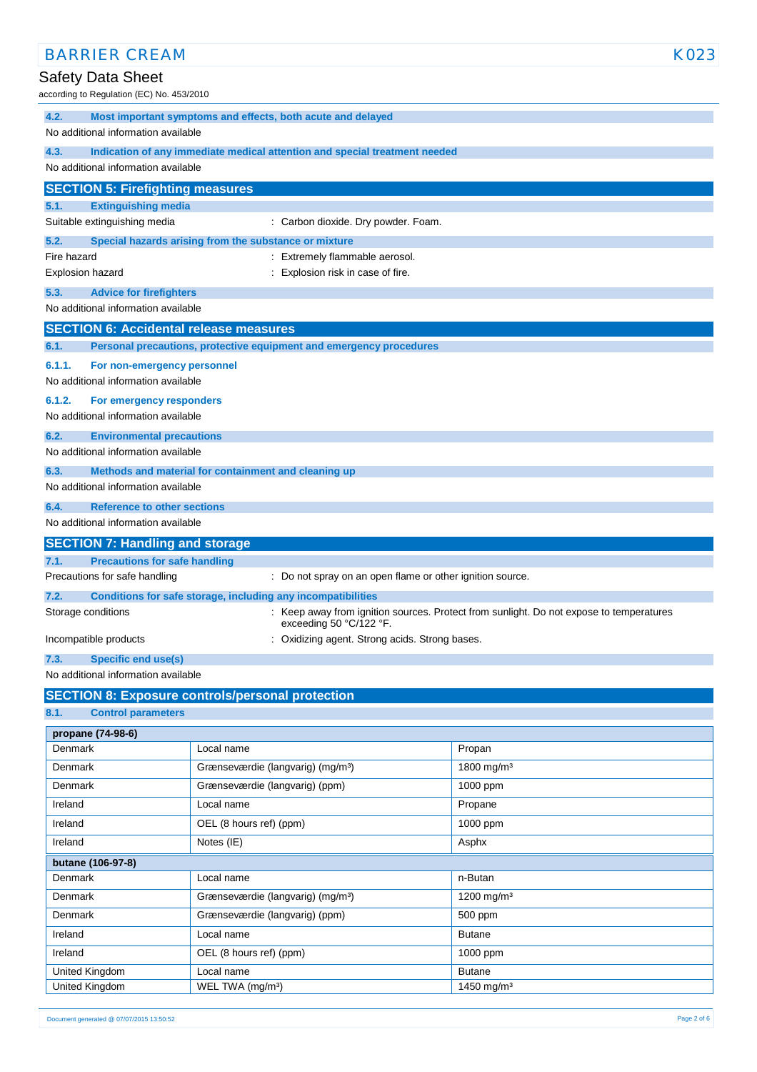| <b>BARRIER CREAM</b>                                                                   |                                                                                         | K023                                                                                    |
|----------------------------------------------------------------------------------------|-----------------------------------------------------------------------------------------|-----------------------------------------------------------------------------------------|
| <b>Safety Data Sheet</b>                                                               |                                                                                         |                                                                                         |
| according to Regulation (EC) No. 453/2010                                              |                                                                                         |                                                                                         |
| 4.2.                                                                                   | Most important symptoms and effects, both acute and delayed                             |                                                                                         |
| No additional information available                                                    |                                                                                         |                                                                                         |
| 4.3.                                                                                   | Indication of any immediate medical attention and special treatment needed              |                                                                                         |
| No additional information available                                                    |                                                                                         |                                                                                         |
| <b>SECTION 5: Firefighting measures</b>                                                |                                                                                         |                                                                                         |
| 5.1.<br><b>Extinguishing media</b>                                                     |                                                                                         |                                                                                         |
| Suitable extinguishing media                                                           | : Carbon dioxide. Dry powder. Foam.                                                     |                                                                                         |
| 5.2.<br>Fire hazard                                                                    | Special hazards arising from the substance or mixture<br>: Extremely flammable aerosol. |                                                                                         |
| <b>Explosion hazard</b>                                                                | : Explosion risk in case of fire.                                                       |                                                                                         |
| 5.3.<br><b>Advice for firefighters</b>                                                 |                                                                                         |                                                                                         |
| No additional information available                                                    |                                                                                         |                                                                                         |
| <b>SECTION 6: Accidental release measures</b>                                          |                                                                                         |                                                                                         |
| 6.1.                                                                                   | Personal precautions, protective equipment and emergency procedures                     |                                                                                         |
| 6.1.1.<br>For non-emergency personnel                                                  |                                                                                         |                                                                                         |
| No additional information available                                                    |                                                                                         |                                                                                         |
| 6.1.2.<br>For emergency responders                                                     |                                                                                         |                                                                                         |
| No additional information available                                                    |                                                                                         |                                                                                         |
| 6.2.<br><b>Environmental precautions</b>                                               |                                                                                         |                                                                                         |
| No additional information available                                                    |                                                                                         |                                                                                         |
| 6.3.                                                                                   | Methods and material for containment and cleaning up                                    |                                                                                         |
| No additional information available                                                    |                                                                                         |                                                                                         |
| 6.4.<br><b>Reference to other sections</b><br>No additional information available      |                                                                                         |                                                                                         |
|                                                                                        |                                                                                         |                                                                                         |
| <b>SECTION 7: Handling and storage</b><br><b>Precautions for safe handling</b><br>7.1. |                                                                                         |                                                                                         |
| Precautions for safe handling                                                          | : Do not spray on an open flame or other ignition source.                               |                                                                                         |
| 7.2.                                                                                   | Conditions for safe storage, including any incompatibilities                            |                                                                                         |
| Storage conditions                                                                     | exceeding 50 °C/122 °F.                                                                 | : Keep away from ignition sources. Protect from sunlight. Do not expose to temperatures |
| : Oxidizing agent. Strong acids. Strong bases.<br>Incompatible products                |                                                                                         |                                                                                         |
| 7.3.<br><b>Specific end use(s)</b>                                                     |                                                                                         |                                                                                         |
| No additional information available                                                    |                                                                                         |                                                                                         |
|                                                                                        | <b>SECTION 8: Exposure controls/personal protection</b>                                 |                                                                                         |
| 8.1.<br><b>Control parameters</b>                                                      |                                                                                         |                                                                                         |
| propane (74-98-6)                                                                      |                                                                                         |                                                                                         |
| Denmark                                                                                | Local name                                                                              | Propan                                                                                  |
| Denmark                                                                                | Grænseværdie (langvarig) (mg/m <sup>3</sup> )                                           | 1800 mg/m <sup>3</sup>                                                                  |
| Denmark                                                                                | Grænseværdie (langvarig) (ppm)                                                          | 1000 ppm                                                                                |
| Ireland                                                                                | Local name                                                                              | Propane                                                                                 |
| Ireland                                                                                | OEL (8 hours ref) (ppm)                                                                 | 1000 ppm                                                                                |
| Ireland                                                                                | Notes (IE)                                                                              | Asphx                                                                                   |
| butane (106-97-8)                                                                      |                                                                                         |                                                                                         |
| Denmark                                                                                | Local name                                                                              | n-Butan                                                                                 |
| Denmark                                                                                | Grænseværdie (langvarig) (mg/m <sup>3</sup> )                                           | 1200 mg/m <sup>3</sup>                                                                  |
| Denmark                                                                                | Grænseværdie (langvarig) (ppm)                                                          | 500 ppm                                                                                 |
| Ireland                                                                                | Local name                                                                              | <b>Butane</b>                                                                           |
| Ireland                                                                                | OEL (8 hours ref) (ppm)                                                                 | 1000 ppm                                                                                |
| United Kingdom<br>United Kingdom                                                       | Local name<br>WEL TWA (mg/m <sup>3</sup> )                                              | <b>Butane</b><br>1450 mg/m <sup>3</sup>                                                 |
|                                                                                        |                                                                                         |                                                                                         |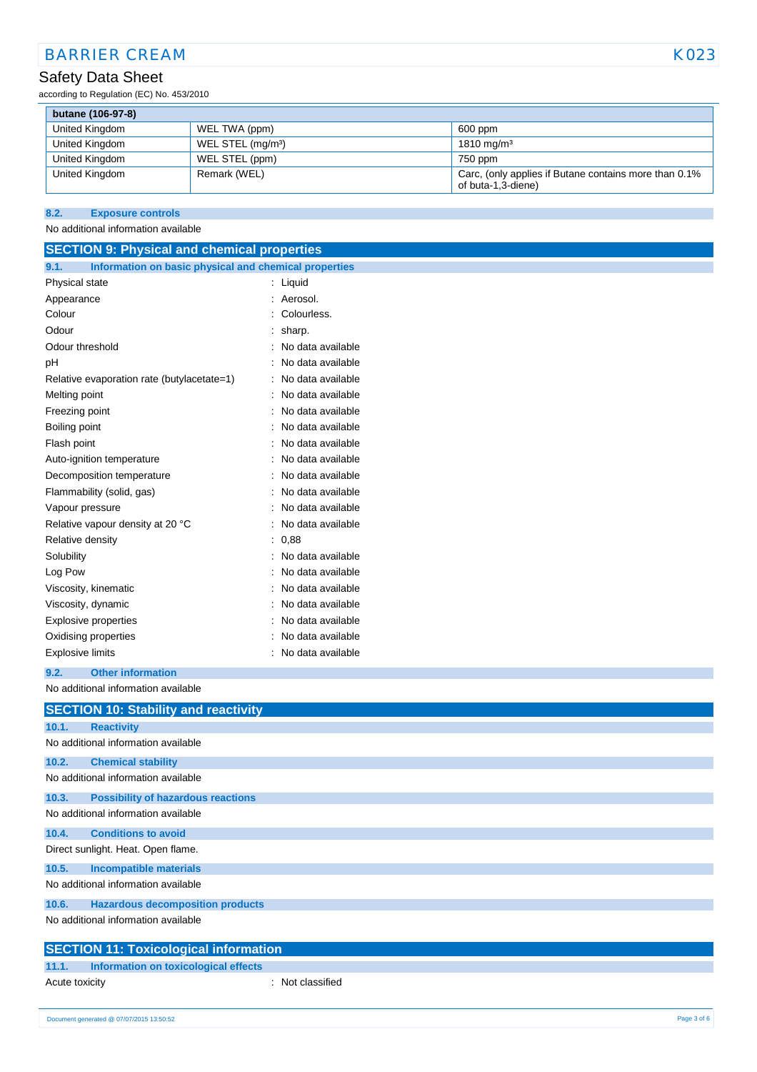## Safety Data Sheet

according to Regulation (EC) No. 453/2010

| butane (106-97-8) |                               |                                                                             |
|-------------------|-------------------------------|-----------------------------------------------------------------------------|
| United Kingdom    | WEL TWA (ppm)                 | 600 ppm                                                                     |
| United Kingdom    | WEL STEL (mg/m <sup>3</sup> ) | $1810 \,\mathrm{mq/m^3}$                                                    |
| United Kingdom    | WEL STEL (ppm)                | 750 ppm                                                                     |
| United Kingdom    | Remark (WEL)                  | Carc, (only applies if Butane contains more than 0.1%<br>of buta-1,3-diene) |

## **8.2. Exposure controls**

#### No additional information available

| <b>SECTION 9: Physical and chemical properties</b>            |                   |  |  |
|---------------------------------------------------------------|-------------------|--|--|
| 9.1.<br>Information on basic physical and chemical properties |                   |  |  |
| Physical state                                                | : Liquid          |  |  |
| Appearance                                                    | Aerosol.          |  |  |
| Colour                                                        | Colourless.       |  |  |
| Odour                                                         | sharp.            |  |  |
| Odour threshold                                               | No data available |  |  |
| рH                                                            | No data available |  |  |
| Relative evaporation rate (butylacetate=1)                    | No data available |  |  |
| Melting point                                                 | No data available |  |  |
| Freezing point                                                | No data available |  |  |
| Boiling point                                                 | No data available |  |  |
| Flash point                                                   | No data available |  |  |
| Auto-ignition temperature                                     | No data available |  |  |
| Decomposition temperature                                     | No data available |  |  |
| Flammability (solid, gas)                                     | No data available |  |  |
| Vapour pressure                                               | No data available |  |  |
| Relative vapour density at 20 °C                              | No data available |  |  |
| Relative density                                              | 0,88              |  |  |
| Solubility                                                    | No data available |  |  |
| Log Pow                                                       | No data available |  |  |
| Viscosity, kinematic                                          | No data available |  |  |
| Viscosity, dynamic                                            | No data available |  |  |
| Explosive properties                                          | No data available |  |  |
| Oxidising properties                                          | No data available |  |  |
| <b>Explosive limits</b>                                       | No data available |  |  |
| 9.2.<br><b>Other information</b>                              |                   |  |  |
| No additional information available                           |                   |  |  |
| <b>SECTION 10: Stability and reactivity</b>                   |                   |  |  |
| 10.1.<br><b>Reactivity</b>                                    |                   |  |  |
| No additional information available                           |                   |  |  |
| <b>Chemical stability</b><br>10.2.                            |                   |  |  |
| No additional information available                           |                   |  |  |
| 10.3.<br><b>Possibility of hazardous reactions</b>            |                   |  |  |
| No additional information available                           |                   |  |  |
| <b>Conditions to avoid</b><br>10.4.                           |                   |  |  |
| Direct sunlight. Heat. Open flame.                            |                   |  |  |
| 10.5.<br><b>Incompatible materials</b>                        |                   |  |  |
| No additional information available                           |                   |  |  |
| <b>Hazardous decomposition products</b><br>10.6.              |                   |  |  |
| No additional information available                           |                   |  |  |
| <b>SECTION 11: Toxicological information</b>                  |                   |  |  |
| <b>Information on toxicological effects</b><br>11.1.          |                   |  |  |
| Acute toxicity                                                | : Not classified  |  |  |
|                                                               |                   |  |  |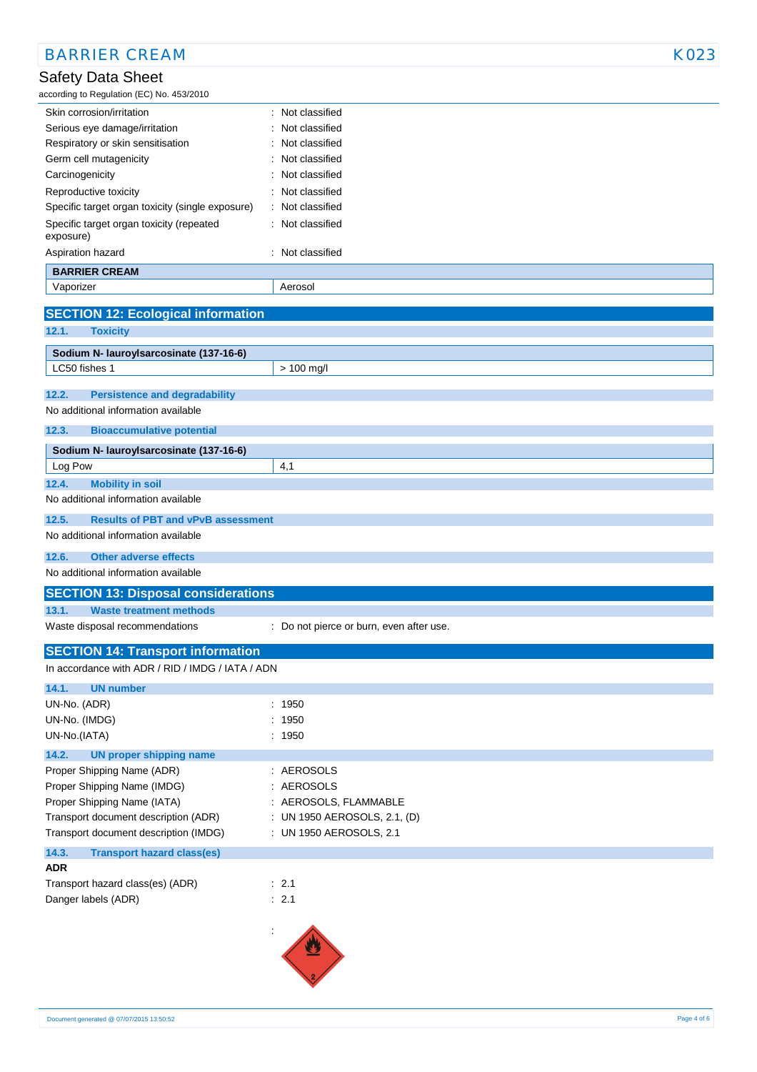| <b>BARRIER CREAM</b>                                     |                                          | K023 |
|----------------------------------------------------------|------------------------------------------|------|
| Safety Data Sheet                                        |                                          |      |
| according to Regulation (EC) No. 453/2010                |                                          |      |
| Skin corrosion/irritation                                | : Not classified                         |      |
| Serious eye damage/irritation                            | Not classified                           |      |
| Respiratory or skin sensitisation                        | Not classified                           |      |
| Germ cell mutagenicity                                   | Not classified                           |      |
| Carcinogenicity                                          | Not classified                           |      |
| Reproductive toxicity                                    | Not classified                           |      |
| Specific target organ toxicity (single exposure)         | Not classified                           |      |
| Specific target organ toxicity (repeated<br>exposure)    | Not classified                           |      |
| Aspiration hazard                                        | : Not classified                         |      |
| <b>BARRIER CREAM</b>                                     |                                          |      |
| Vaporizer                                                | Aerosol                                  |      |
| <b>SECTION 12: Ecological information</b>                |                                          |      |
| 12.1.<br><b>Toxicity</b>                                 |                                          |      |
|                                                          |                                          |      |
| Sodium N- lauroylsarcosinate (137-16-6)<br>LC50 fishes 1 | $> 100$ mg/l                             |      |
|                                                          |                                          |      |
| 12.2.<br><b>Persistence and degradability</b>            |                                          |      |
| No additional information available                      |                                          |      |
| 12.3.<br><b>Bioaccumulative potential</b>                |                                          |      |
| Sodium N- lauroylsarcosinate (137-16-6)                  |                                          |      |
| Log Pow                                                  | 4,1                                      |      |
| <b>Mobility in soil</b><br>12.4.                         |                                          |      |
| No additional information available                      |                                          |      |
| 12.5.<br><b>Results of PBT and vPvB assessment</b>       |                                          |      |
| No additional information available                      |                                          |      |
|                                                          |                                          |      |
| 12.6.<br><b>Other adverse effects</b>                    |                                          |      |
| No additional information available                      |                                          |      |
| <b>SECTION 13: Disposal considerations</b>               |                                          |      |
| 13.1.<br><b>Waste treatment methods</b>                  |                                          |      |
| Waste disposal recommendations                           | : Do not pierce or burn, even after use. |      |
| <b>SECTION 14: Transport information</b>                 |                                          |      |
| In accordance with ADR / RID / IMDG / IATA / ADN         |                                          |      |
| 14.1.<br><b>UN number</b>                                |                                          |      |
| UN-No. (ADR)                                             | : 1950                                   |      |
| UN-No. (IMDG)                                            | : 1950                                   |      |
| UN-No.(IATA)                                             | : 1950                                   |      |
| 14.2.<br><b>UN proper shipping name</b>                  |                                          |      |
| Proper Shipping Name (ADR)                               | : AEROSOLS                               |      |
| Proper Shipping Name (IMDG)                              | : AEROSOLS                               |      |
| Proper Shipping Name (IATA)                              | : AEROSOLS, FLAMMABLE                    |      |
| Transport document description (ADR)                     | : UN 1950 AEROSOLS, 2.1, (D)             |      |
| Transport document description (IMDG)                    | : UN 1950 AEROSOLS, 2.1                  |      |
|                                                          |                                          |      |
| 14.3.<br><b>Transport hazard class(es)</b><br><b>ADR</b> |                                          |      |
|                                                          | $\therefore$ 2.1                         |      |
| Transport hazard class(es) (ADR)                         |                                          |      |
| Danger labels (ADR)                                      | : 2.1                                    |      |
|                                                          |                                          |      |
|                                                          |                                          |      |
|                                                          |                                          |      |
|                                                          |                                          |      |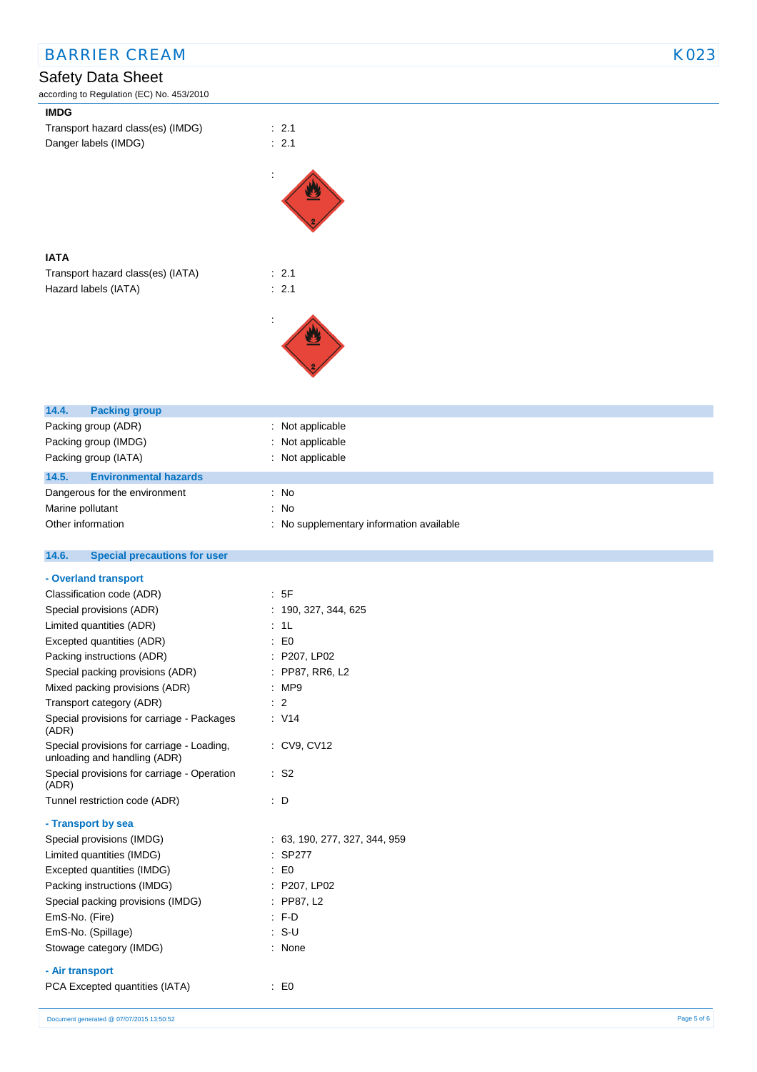| <b>BARRIER CREAM</b>                                 |                                          | K023 |
|------------------------------------------------------|------------------------------------------|------|
| <b>Safety Data Sheet</b>                             |                                          |      |
| according to Regulation (EC) No. 453/2010            |                                          |      |
| <b>IMDG</b>                                          |                                          |      |
| Transport hazard class(es) (IMDG)                    | $\therefore$ 2.1                         |      |
| Danger labels (IMDG)                                 | : 2.1                                    |      |
|                                                      |                                          |      |
|                                                      |                                          |      |
|                                                      |                                          |      |
|                                                      |                                          |      |
|                                                      |                                          |      |
|                                                      |                                          |      |
| <b>IATA</b>                                          |                                          |      |
| Transport hazard class(es) (IATA)                    | : 2.1                                    |      |
| Hazard labels (IATA)                                 | : 2.1                                    |      |
|                                                      |                                          |      |
|                                                      |                                          |      |
|                                                      |                                          |      |
|                                                      |                                          |      |
|                                                      |                                          |      |
|                                                      |                                          |      |
|                                                      |                                          |      |
| 14.4.<br><b>Packing group</b>                        |                                          |      |
| Packing group (ADR)                                  | : Not applicable                         |      |
| Packing group (IMDG)                                 | : Not applicable                         |      |
| Packing group (IATA)                                 | : Not applicable                         |      |
| 14.5.<br><b>Environmental hazards</b>                |                                          |      |
| Dangerous for the environment                        | : No                                     |      |
| Marine pollutant                                     | : No                                     |      |
| Other information                                    | : No supplementary information available |      |
|                                                      |                                          |      |
| 14.6.<br><b>Special precautions for user</b>         |                                          |      |
| - Overland transport                                 |                                          |      |
| Classification code (ADR)                            | : 5F                                     |      |
| Special provisions (ADR)                             | : 190, 327, 344, 625                     |      |
| Limited quantities (ADR)                             | : 1L                                     |      |
| Excepted quantities (ADR)                            | $\colon$ EO                              |      |
| Packing instructions (ADR)                           | : P207, LP02                             |      |
| Special packing provisions (ADR)                     | : PP87, RR6, L2                          |      |
| Mixed packing provisions (ADR)                       | : MP9                                    |      |
| Transport category (ADR)                             | $\therefore$ 2                           |      |
| Special provisions for carriage - Packages           | : V14                                    |      |
| (ADR)                                                |                                          |      |
| Special provisions for carriage - Loading,           | : CV9, CV12                              |      |
| unloading and handling (ADR)                         |                                          |      |
| Special provisions for carriage - Operation<br>(ADR) | $:$ S <sub>2</sub>                       |      |
| Tunnel restriction code (ADR)                        | $\therefore$ D                           |      |
|                                                      |                                          |      |
| - Transport by sea                                   |                                          |      |
| Special provisions (IMDG)                            | : 63, 190, 277, 327, 344, 959            |      |
| Limited quantities (IMDG)                            | : SP277                                  |      |
| Excepted quantities (IMDG)                           | $\therefore$ EO                          |      |
| Packing instructions (IMDG)                          | : P207, LP02                             |      |
| Special packing provisions (IMDG)                    | : PP87, L2                               |      |
| EmS-No. (Fire)                                       | : F.D                                    |      |
| EmS-No. (Spillage)                                   | $: S-U$                                  |      |
| Stowage category (IMDG)                              | : None                                   |      |
|                                                      |                                          |      |
| - Air transport                                      |                                          |      |